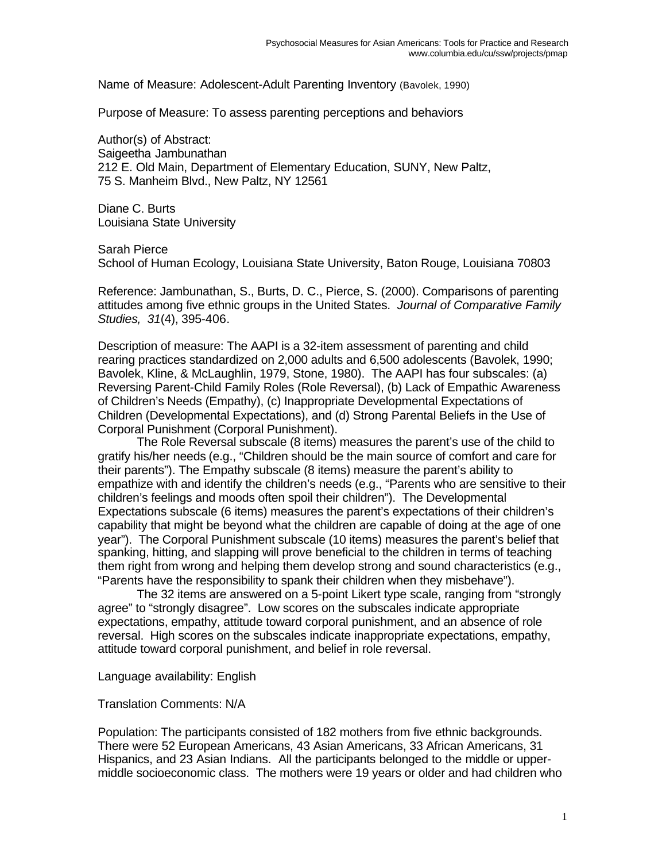Name of Measure: Adolescent-Adult Parenting Inventory (Bavolek, 1990)

Purpose of Measure: To assess parenting perceptions and behaviors

Author(s) of Abstract: Saigeetha Jambunathan 212 E. Old Main, Department of Elementary Education, SUNY, New Paltz, 75 S. Manheim Blvd., New Paltz, NY 12561

Diane C. Burts Louisiana State University

Sarah Pierce School of Human Ecology, Louisiana State University, Baton Rouge, Louisiana 70803

Reference: Jambunathan, S., Burts, D. C., Pierce, S. (2000). Comparisons of parenting attitudes among five ethnic groups in the United States. *Journal of Comparative Family Studies, 31*(4), 395-406.

Description of measure: The AAPI is a 32-item assessment of parenting and child rearing practices standardized on 2,000 adults and 6,500 adolescents (Bavolek, 1990; Bavolek, Kline, & McLaughlin, 1979, Stone, 1980). The AAPI has four subscales: (a) Reversing Parent-Child Family Roles (Role Reversal), (b) Lack of Empathic Awareness of Children's Needs (Empathy), (c) Inappropriate Developmental Expectations of Children (Developmental Expectations), and (d) Strong Parental Beliefs in the Use of Corporal Punishment (Corporal Punishment).

The Role Reversal subscale (8 items) measures the parent's use of the child to gratify his/her needs (e.g., "Children should be the main source of comfort and care for their parents"). The Empathy subscale (8 items) measure the parent's ability to empathize with and identify the children's needs (e.g., "Parents who are sensitive to their children's feelings and moods often spoil their children"). The Developmental Expectations subscale (6 items) measures the parent's expectations of their children's capability that might be beyond what the children are capable of doing at the age of one year"). The Corporal Punishment subscale (10 items) measures the parent's belief that spanking, hitting, and slapping will prove beneficial to the children in terms of teaching them right from wrong and helping them develop strong and sound characteristics (e.g., "Parents have the responsibility to spank their children when they misbehave").

The 32 items are answered on a 5-point Likert type scale, ranging from "strongly agree" to "strongly disagree". Low scores on the subscales indicate appropriate expectations, empathy, attitude toward corporal punishment, and an absence of role reversal. High scores on the subscales indicate inappropriate expectations, empathy, attitude toward corporal punishment, and belief in role reversal.

Language availability: English

Translation Comments: N/A

Population: The participants consisted of 182 mothers from five ethnic backgrounds. There were 52 European Americans, 43 Asian Americans, 33 African Americans, 31 Hispanics, and 23 Asian Indians. All the participants belonged to the middle or uppermiddle socioeconomic class. The mothers were 19 years or older and had children who